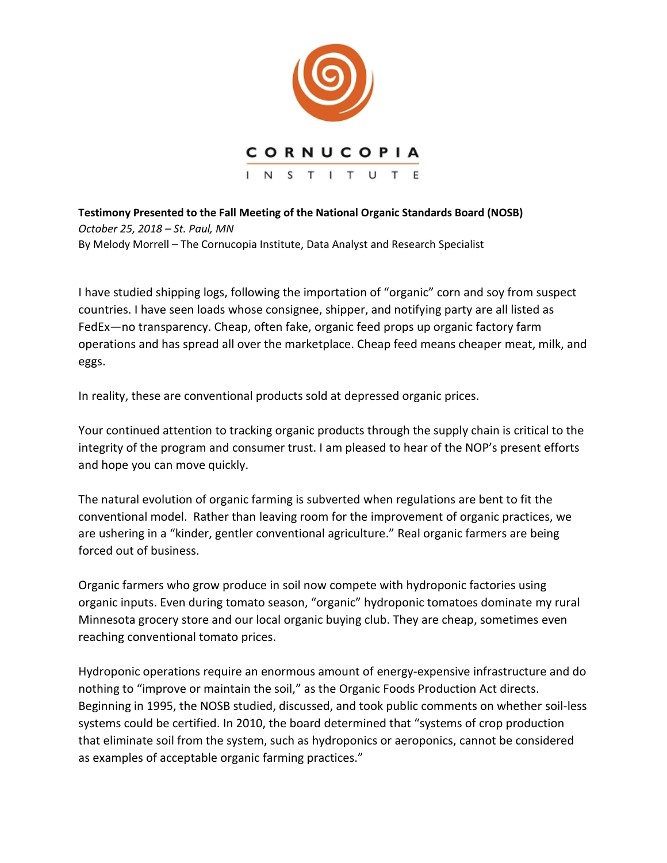

**Testimony Presented to the Fall Meeting of the National Organic Standards Board (NOSB)**  *October 25, 2018 – St. Paul, MN* By Melody Morrell – The Cornucopia Institute, Data Analyst and Research Specialist

I have studied shipping logs, following the importation of "organic" corn and soy from suspect countries. I have seen loads whose consignee, shipper, and notifying party are all listed as FedEx—no transparency. Cheap, often fake, organic feed props up organic factory farm operations and has spread all over the marketplace. Cheap feed means cheaper meat, milk, and eggs.

In reality, these are conventional products sold at depressed organic prices.

Your continued attention to tracking organic products through the supply chain is critical to the integrity of the program and consumer trust. I am pleased to hear of the NOP's present efforts and hope you can move quickly.

The natural evolution of organic farming is subverted when regulations are bent to fit the conventional model. Rather than leaving room for the improvement of organic practices, we are ushering in a "kinder, gentler conventional agriculture." Real organic farmers are being forced out of business.

Organic farmers who grow produce in soil now compete with hydroponic factories using organic inputs. Even during tomato season, "organic" hydroponic tomatoes dominate my rural Minnesota grocery store and our local organic buying club. They are cheap, sometimes even reaching conventional tomato prices.

Hydroponic operations require an enormous amount of energy-expensive infrastructure and do nothing to "improve or maintain the soil," as the Organic Foods Production Act directs. Beginning in 1995, the NOSB studied, discussed, and took public comments on whether soil-less systems could be certified. In 2010, the board determined that "systems of crop production that eliminate soil from the system, such as hydroponics or aeroponics, cannot be considered as examples of acceptable organic farming practices."